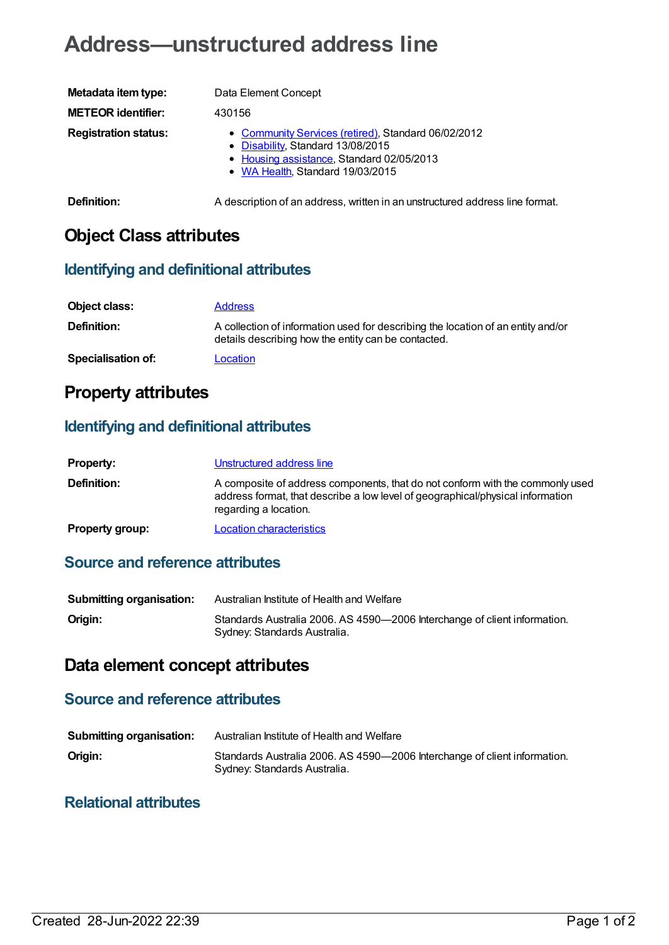# **Address—unstructured address line**

| Metadata item type:         | Data Element Concept                                                                                                                                                      |
|-----------------------------|---------------------------------------------------------------------------------------------------------------------------------------------------------------------------|
| <b>METEOR identifier:</b>   | 430156                                                                                                                                                                    |
| <b>Registration status:</b> | • Community Services (retired), Standard 06/02/2012<br>• Disability, Standard 13/08/2015<br>• Housing assistance, Standard 02/05/2013<br>• WA Health, Standard 19/03/2015 |

**Definition:** A description of an address, written in an unstructured address line format.

# **Object Class attributes**

#### **Identifying and definitional attributes**

| Object class:             | <b>Address</b>                                                                                                                          |
|---------------------------|-----------------------------------------------------------------------------------------------------------------------------------------|
| Definition:               | A collection of information used for describing the location of an entity and/or<br>details describing how the entity can be contacted. |
| <b>Specialisation of:</b> | Location                                                                                                                                |

## **Property attributes**

## **Identifying and definitional attributes**

| <b>Property:</b>       | Unstructured address line                                                                                                                                                                |
|------------------------|------------------------------------------------------------------------------------------------------------------------------------------------------------------------------------------|
| <b>Definition:</b>     | A composite of address components, that do not conform with the commonly used<br>address format, that describe a low level of geographical/physical information<br>regarding a location. |
| <b>Property group:</b> | <b>Location characteristics</b>                                                                                                                                                          |

### **Source and reference attributes**

| Submitting organisation: | Australian Institute of Health and Welfare                                                                |
|--------------------------|-----------------------------------------------------------------------------------------------------------|
| Origin:                  | Standards Australia 2006. AS 4590-2006 Interchange of client information.<br>Sydney: Standards Australia. |

## **Data element concept attributes**

#### **Source and reference attributes**

| <b>Submitting organisation:</b> | Australian Institute of Health and Welfare                                                                |
|---------------------------------|-----------------------------------------------------------------------------------------------------------|
| Origin:                         | Standards Australia 2006. AS 4590-2006 Interchange of client information.<br>Sydney: Standards Australia. |

## **Relational attributes**